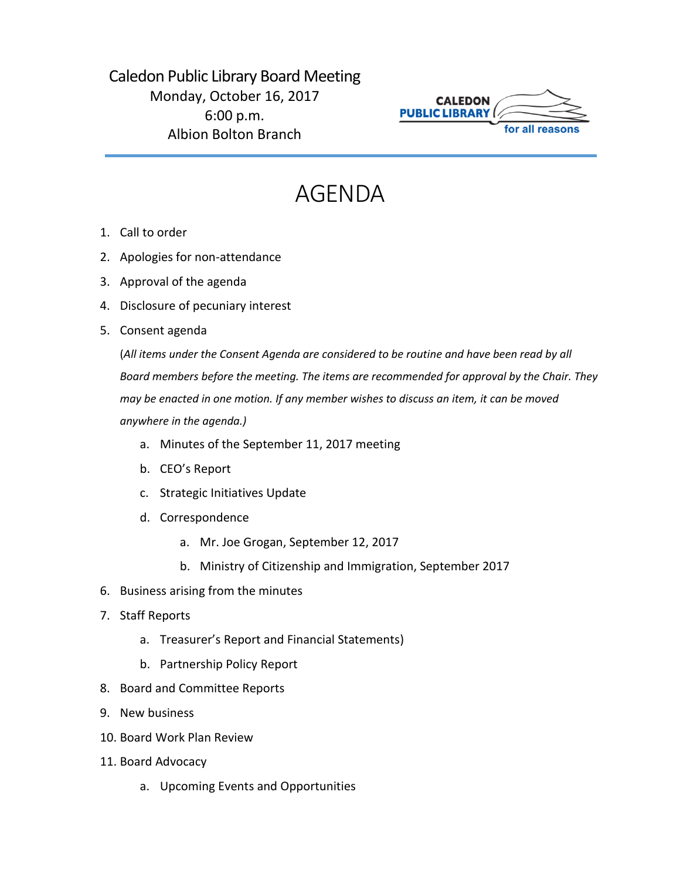## Caledon Public Library Board Meeting Monday, October 16, 2017 6:00 p.m. Albion Bolton Branch



## AGENDA

- 1. Call to order
- 2. Apologies for non-attendance
- 3. Approval of the agenda
- 4. Disclosure of pecuniary interest
- 5. Consent agenda

(*All items under the Consent Agenda are considered to be routine and have been read by all Board members before the meeting. The items are recommended for approval by the Chair. They may be enacted in one motion. If any member wishes to discuss an item, it can be moved anywhere in the agenda.)*

- a. Minutes of the September 11, 2017 meeting
- b. CEO's Report
- c. Strategic Initiatives Update
- d. Correspondence
	- a. Mr. Joe Grogan, September 12, 2017
	- b. Ministry of Citizenship and Immigration, September 2017
- 6. Business arising from the minutes
- 7. Staff Reports
	- a. Treasurer's Report and Financial Statements)
	- b. Partnership Policy Report
- 8. Board and Committee Reports
- 9. New business
- 10. Board Work Plan Review
- 11. Board Advocacy
	- a. Upcoming Events and Opportunities